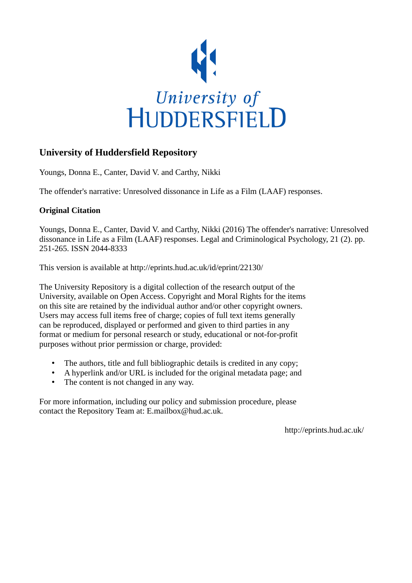

## **University of Huddersfield Repository**

Youngs, Donna E., Canter, David V. and Carthy, Nikki

The offender's narrative: Unresolved dissonance in Life as a Film (LAAF) responses.

## **Original Citation**

Youngs, Donna E., Canter, David V. and Carthy, Nikki (2016) The offender's narrative: Unresolved dissonance in Life as a Film (LAAF) responses. Legal and Criminological Psychology, 21 (2). pp. 251-265. ISSN 2044-8333

This version is available at http://eprints.hud.ac.uk/id/eprint/22130/

The University Repository is a digital collection of the research output of the University, available on Open Access. Copyright and Moral Rights for the items on this site are retained by the individual author and/or other copyright owners. Users may access full items free of charge; copies of full text items generally can be reproduced, displayed or performed and given to third parties in any format or medium for personal research or study, educational or not-for-profit purposes without prior permission or charge, provided:

- The authors, title and full bibliographic details is credited in any copy;
- A hyperlink and/or URL is included for the original metadata page; and
- The content is not changed in any way.

For more information, including our policy and submission procedure, please contact the Repository Team at: E.mailbox@hud.ac.uk.

http://eprints.hud.ac.uk/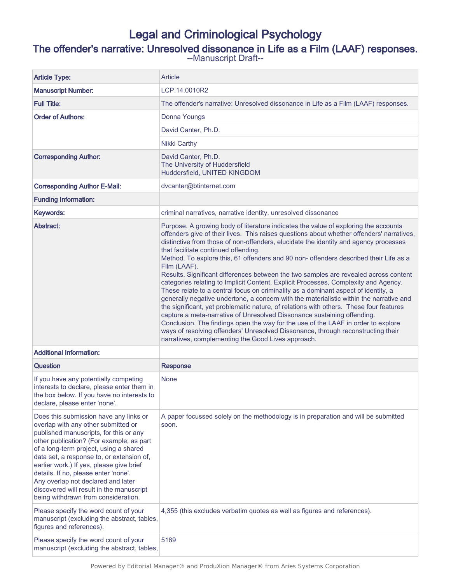## Legal and Criminological Psychology

## The offender's narrative: Unresolved dissonance in Life as a Film (LAAF) responses.

--Manuscript Draft--

| <b>Article Type:</b>                                                                                                                                                                                                                                                                                                                                                                                                                                                    | Article                                                                                                                                                                                                                                                                                                                                                                                                                                                                                                                                                                                                                                                                                                                                                                                                                                                                                                                                                                                                                                                                                                                                                                                       |  |
|-------------------------------------------------------------------------------------------------------------------------------------------------------------------------------------------------------------------------------------------------------------------------------------------------------------------------------------------------------------------------------------------------------------------------------------------------------------------------|-----------------------------------------------------------------------------------------------------------------------------------------------------------------------------------------------------------------------------------------------------------------------------------------------------------------------------------------------------------------------------------------------------------------------------------------------------------------------------------------------------------------------------------------------------------------------------------------------------------------------------------------------------------------------------------------------------------------------------------------------------------------------------------------------------------------------------------------------------------------------------------------------------------------------------------------------------------------------------------------------------------------------------------------------------------------------------------------------------------------------------------------------------------------------------------------------|--|
| <b>Manuscript Number:</b>                                                                                                                                                                                                                                                                                                                                                                                                                                               | LCP.14.0010R2                                                                                                                                                                                                                                                                                                                                                                                                                                                                                                                                                                                                                                                                                                                                                                                                                                                                                                                                                                                                                                                                                                                                                                                 |  |
| <b>Full Title:</b>                                                                                                                                                                                                                                                                                                                                                                                                                                                      | The offender's narrative: Unresolved dissonance in Life as a Film (LAAF) responses.                                                                                                                                                                                                                                                                                                                                                                                                                                                                                                                                                                                                                                                                                                                                                                                                                                                                                                                                                                                                                                                                                                           |  |
| <b>Order of Authors:</b>                                                                                                                                                                                                                                                                                                                                                                                                                                                | Donna Youngs                                                                                                                                                                                                                                                                                                                                                                                                                                                                                                                                                                                                                                                                                                                                                                                                                                                                                                                                                                                                                                                                                                                                                                                  |  |
|                                                                                                                                                                                                                                                                                                                                                                                                                                                                         | David Canter, Ph.D.                                                                                                                                                                                                                                                                                                                                                                                                                                                                                                                                                                                                                                                                                                                                                                                                                                                                                                                                                                                                                                                                                                                                                                           |  |
|                                                                                                                                                                                                                                                                                                                                                                                                                                                                         | Nikki Carthy                                                                                                                                                                                                                                                                                                                                                                                                                                                                                                                                                                                                                                                                                                                                                                                                                                                                                                                                                                                                                                                                                                                                                                                  |  |
| <b>Corresponding Author:</b>                                                                                                                                                                                                                                                                                                                                                                                                                                            | David Canter, Ph.D.<br>The University of Huddersfield<br>Huddersfield, UNITED KINGDOM                                                                                                                                                                                                                                                                                                                                                                                                                                                                                                                                                                                                                                                                                                                                                                                                                                                                                                                                                                                                                                                                                                         |  |
| <b>Corresponding Author E-Mail:</b>                                                                                                                                                                                                                                                                                                                                                                                                                                     | dvcanter@btinternet.com                                                                                                                                                                                                                                                                                                                                                                                                                                                                                                                                                                                                                                                                                                                                                                                                                                                                                                                                                                                                                                                                                                                                                                       |  |
| <b>Funding Information:</b>                                                                                                                                                                                                                                                                                                                                                                                                                                             |                                                                                                                                                                                                                                                                                                                                                                                                                                                                                                                                                                                                                                                                                                                                                                                                                                                                                                                                                                                                                                                                                                                                                                                               |  |
| Keywords:                                                                                                                                                                                                                                                                                                                                                                                                                                                               | criminal narratives, narrative identity, unresolved dissonance                                                                                                                                                                                                                                                                                                                                                                                                                                                                                                                                                                                                                                                                                                                                                                                                                                                                                                                                                                                                                                                                                                                                |  |
| Abstract:                                                                                                                                                                                                                                                                                                                                                                                                                                                               | Purpose. A growing body of literature indicates the value of exploring the accounts<br>offenders give of their lives. This raises questions about whether offenders' narratives,<br>distinctive from those of non-offenders, elucidate the identity and agency processes<br>that facilitate continued offending.<br>Method. To explore this, 61 offenders and 90 non- offenders described their Life as a<br>Film (LAAF).<br>Results. Significant differences between the two samples are revealed across content<br>categories relating to Implicit Content, Explicit Processes, Complexity and Agency.<br>These relate to a central focus on criminality as a dominant aspect of identity, a<br>generally negative undertone, a concern with the materialistic within the narrative and<br>the significant, yet problematic nature, of relations with others. These four features<br>capture a meta-narrative of Unresolved Dissonance sustaining offending.<br>Conclusion. The findings open the way for the use of the LAAF in order to explore<br>ways of resolving offenders' Unresolved Dissonance, through reconstructing their<br>narratives, complementing the Good Lives approach. |  |
| <b>Additional Information:</b>                                                                                                                                                                                                                                                                                                                                                                                                                                          |                                                                                                                                                                                                                                                                                                                                                                                                                                                                                                                                                                                                                                                                                                                                                                                                                                                                                                                                                                                                                                                                                                                                                                                               |  |
| Question                                                                                                                                                                                                                                                                                                                                                                                                                                                                | <b>Response</b>                                                                                                                                                                                                                                                                                                                                                                                                                                                                                                                                                                                                                                                                                                                                                                                                                                                                                                                                                                                                                                                                                                                                                                               |  |
| If you have any potentially competing<br>interests to declare, please enter them in<br>the box below. If you have no interests to<br>declare, please enter 'none'.                                                                                                                                                                                                                                                                                                      | None                                                                                                                                                                                                                                                                                                                                                                                                                                                                                                                                                                                                                                                                                                                                                                                                                                                                                                                                                                                                                                                                                                                                                                                          |  |
| Does this submission have any links or<br>overlap with any other submitted or<br>published manuscripts, for this or any<br>other publication? (For example; as part<br>of a long-term project, using a shared<br>data set, a response to, or extension of,<br>earlier work.) If yes, please give brief<br>details. If no, please enter 'none'.<br>Any overlap not declared and later<br>discovered will result in the manuscript<br>being withdrawn from consideration. | A paper focussed solely on the methodology is in preparation and will be submitted<br>soon.                                                                                                                                                                                                                                                                                                                                                                                                                                                                                                                                                                                                                                                                                                                                                                                                                                                                                                                                                                                                                                                                                                   |  |
| Please specify the word count of your<br>manuscript (excluding the abstract, tables,<br>figures and references).                                                                                                                                                                                                                                                                                                                                                        | 4,355 (this excludes verbatim quotes as well as figures and references).                                                                                                                                                                                                                                                                                                                                                                                                                                                                                                                                                                                                                                                                                                                                                                                                                                                                                                                                                                                                                                                                                                                      |  |
| Please specify the word count of your<br>manuscript (excluding the abstract, tables,                                                                                                                                                                                                                                                                                                                                                                                    | 5189                                                                                                                                                                                                                                                                                                                                                                                                                                                                                                                                                                                                                                                                                                                                                                                                                                                                                                                                                                                                                                                                                                                                                                                          |  |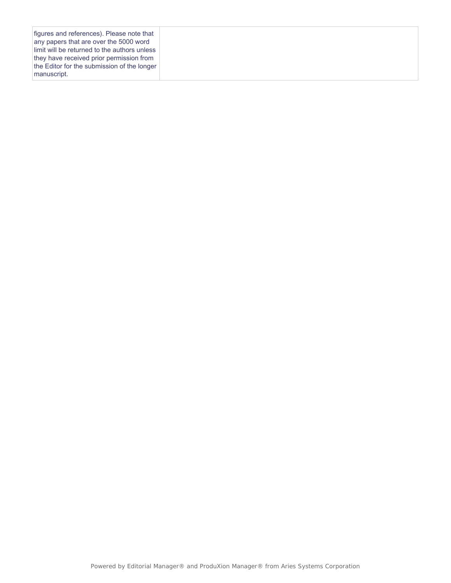| limit will be returned to the authors unless<br>the Editor for the submission of the longer |
|---------------------------------------------------------------------------------------------|
|---------------------------------------------------------------------------------------------|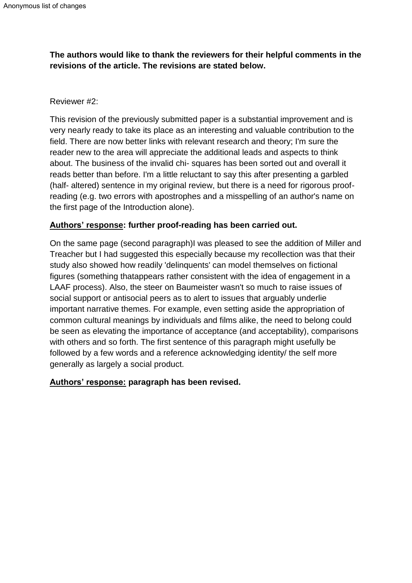## **The authors would like to thank the reviewers for their helpful comments in the revisions of the article. The revisions are stated below.**

### Reviewer #2:

This revision of the previously submitted paper is a substantial improvement and is very nearly ready to take its place as an interesting and valuable contribution to the field. There are now better links with relevant research and theory; I'm sure the reader new to the area will appreciate the additional leads and aspects to think about. The business of the invalid chi- squares has been sorted out and overall it reads better than before. I'm a little reluctant to say this after presenting a garbled (half- altered) sentence in my original review, but there is a need for rigorous proofreading (e.g. two errors with apostrophes and a misspelling of an author's name on the first page of the Introduction alone).

## **Authors' response: further proof-reading has been carried out.**

On the same page (second paragraph)I was pleased to see the addition of Miller and Treacher but I had suggested this especially because my recollection was that their study also showed how readily 'delinquents' can model themselves on fictional figures (something thatappears rather consistent with the idea of engagement in a LAAF process). Also, the steer on Baumeister wasn't so much to raise issues of social support or antisocial peers as to alert to issues that arguably underlie important narrative themes. For example, even setting aside the appropriation of common cultural meanings by individuals and films alike, the need to belong could be seen as elevating the importance of acceptance (and acceptability), comparisons with others and so forth. The first sentence of this paragraph might usefully be followed by a few words and a reference acknowledging identity/ the self more generally as largely a social product.

### **Authors' response: paragraph has been revised.**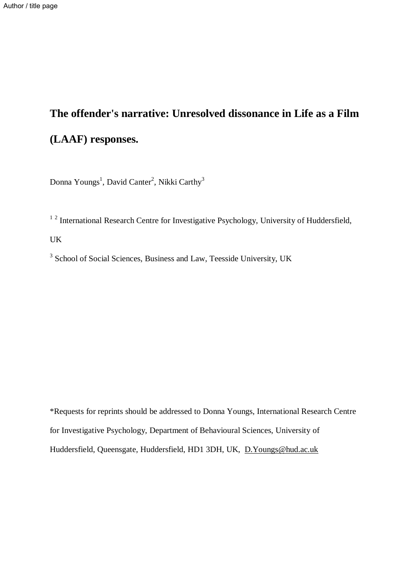# **The offender's narrative: Unresolved dissonance in Life as a Film (LAAF) responses.**

Donna Youngs<sup>1</sup>, David Canter<sup>2</sup>, Nikki Carthy<sup>3</sup>

<sup>12</sup> International Research Centre for Investigative Psychology, University of Huddersfield,

UK

<sup>3</sup> School of Social Sciences, Business and Law, Teesside University, UK

\*Requests for reprints should be addressed to Donna Youngs, International Research Centre for Investigative Psychology, Department of Behavioural Sciences, University of Huddersfield, Queensgate, Huddersfield, HD1 3DH, UK, [D.Youngs@hud.ac.uk](mailto:D.Youngs@hud.ac.uk)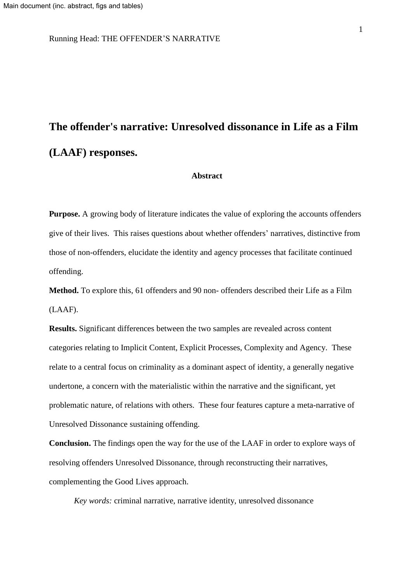Running Head: THE OFFENDER'S NARRATIVE

## **The offender's narrative: Unresolved dissonance in Life as a Film (LAAF) responses.**

#### **Abstract**

**Purpose.** A growing body of literature indicates the value of exploring the accounts offenders give of their lives. This raises questions about whether offenders' narratives, distinctive from those of non-offenders, elucidate the identity and agency processes that facilitate continued offending.

**Method.** To explore this, 61 offenders and 90 non- offenders described their Life as a Film (LAAF).

**Results.** Significant differences between the two samples are revealed across content categories relating to Implicit Content, Explicit Processes, Complexity and Agency. These relate to a central focus on criminality as a dominant aspect of identity, a generally negative undertone, a concern with the materialistic within the narrative and the significant, yet problematic nature, of relations with others. These four features capture a meta-narrative of Unresolved Dissonance sustaining offending.

**Conclusion.** The findings open the way for the use of the LAAF in order to explore ways of resolving offenders Unresolved Dissonance, through reconstructing their narratives, complementing the Good Lives approach.

*Key words:* criminal narrative, narrative identity, unresolved dissonance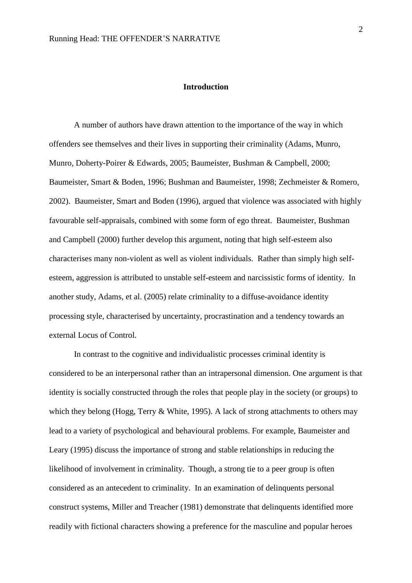#### **Introduction**

A number of authors have drawn attention to the importance of the way in which offenders see themselves and their lives in supporting their criminality (Adams, Munro, Munro, Doherty-Poirer & Edwards, 2005; Baumeister, Bushman & Campbell, 2000; Baumeister, Smart & Boden, 1996; Bushman and Baumeister, 1998; Zechmeister & Romero, 2002). Baumeister, Smart and Boden (1996), argued that violence was associated with highly favourable self-appraisals, combined with some form of ego threat. Baumeister, Bushman and Campbell (2000) further develop this argument, noting that high self-esteem also characterises many non-violent as well as violent individuals. Rather than simply high selfesteem, aggression is attributed to unstable self-esteem and narcissistic forms of identity. In another study, Adams, et al. (2005) relate criminality to a diffuse-avoidance identity processing style, characterised by uncertainty, procrastination and a tendency towards an external Locus of Control.

In contrast to the cognitive and individualistic processes criminal identity is considered to be an interpersonal rather than an intrapersonal dimension. One argument is that identity is socially constructed through the roles that people play in the society (or groups) to which they belong (Hogg, Terry & White, 1995). A lack of strong attachments to others may lead to a variety of psychological and behavioural problems. For example, Baumeister and Leary (1995) discuss the importance of strong and stable relationships in reducing the likelihood of involvement in criminality. Though, a strong tie to a peer group is often considered as an antecedent to criminality. In an examination of delinquents personal construct systems, Miller and Treacher (1981) demonstrate that delinquents identified more readily with fictional characters showing a preference for the masculine and popular heroes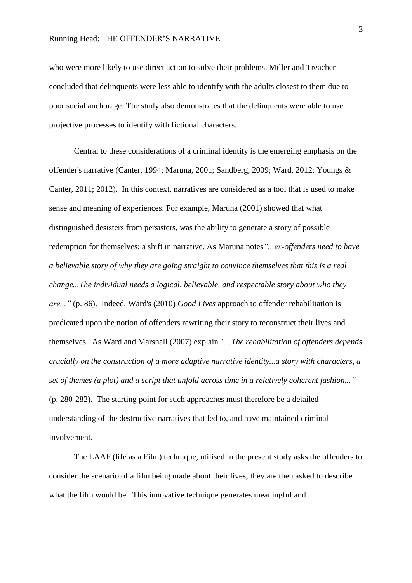who were more likely to use direct action to solve their problems. Miller and Treacher concluded that delinquents were less able to identify with the adults closest to them due to poor social anchorage. The study also demonstrates that the delinquents were able to use projective processes to identify with fictional characters.

Central to these considerations of a criminal identity is the emerging emphasis on the offender's narrative (Canter, 1994; Maruna, 2001; Sandberg, 2009; Ward, 2012; Youngs & Canter, 2011; 2012). In this context, narratives are considered as a tool that is used to make sense and meaning of experiences. For example, Maruna (2001) showed that what distinguished desisters from persisters, was the ability to generate a story of possible redemption for themselves; a shift in narrative. As Maruna notes*"...ex-offenders need to have a believable story of why they are going straight to convince themselves that this is a real change...The individual needs a logical, believable, and respectable story about who they are..."* (p. 86). Indeed, Ward's (2010) *Good Lives* approach to offender rehabilitation is predicated upon the notion of offenders rewriting their story to reconstruct their lives and themselves. As Ward and Marshall (2007) explain *"...The rehabilitation of offenders depends crucially on the construction of a more adaptive narrative identity...a story with characters, a set of themes (a plot) and a script that unfold across time in a relatively coherent fashion..."* (p. 280-282). The starting point for such approaches must therefore be a detailed understanding of the destructive narratives that led to, and have maintained criminal involvement.

The LAAF (life as a Film) technique, utilised in the present study asks the offenders to consider the scenario of a film being made about their lives; they are then asked to describe what the film would be. This innovative technique generates meaningful and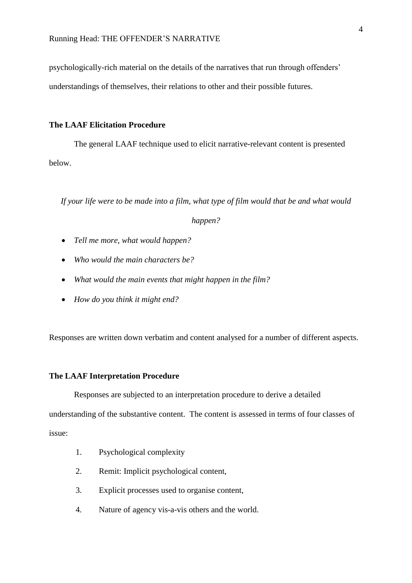psychologically-rich material on the details of the narratives that run through offenders'

understandings of themselves, their relations to other and their possible futures.

#### **The LAAF Elicitation Procedure**

The general LAAF technique used to elicit narrative-relevant content is presented below.

If your life were to be made into a film, what type of film would that be and what would

#### *happen?*

- *Tell me more, what would happen?*
- *Who would the main characters be?*
- *What would the main events that might happen in the film?*
- *How do you think it might end?*

Responses are written down verbatim and content analysed for a number of different aspects.

#### **The LAAF Interpretation Procedure**

Responses are subjected to an interpretation procedure to derive a detailed

understanding of the substantive content. The content is assessed in terms of four classes of issue:

- 1. Psychological complexity
- 2. Remit: Implicit psychological content,
- 3. Explicit processes used to organise content,
- 4. Nature of agency vis-a-vis others and the world.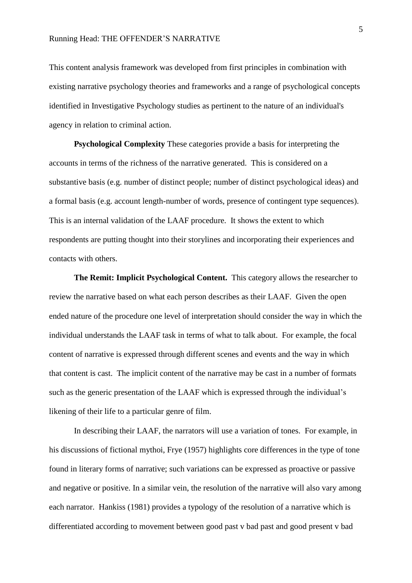This content analysis framework was developed from first principles in combination with existing narrative psychology theories and frameworks and a range of psychological concepts identified in Investigative Psychology studies as pertinent to the nature of an individual's agency in relation to criminal action.

**Psychological Complexity** These categories provide a basis for interpreting the accounts in terms of the richness of the narrative generated. This is considered on a substantive basis (e.g. number of distinct people; number of distinct psychological ideas) and a formal basis (e.g. account length-number of words, presence of contingent type sequences). This is an internal validation of the LAAF procedure. It shows the extent to which respondents are putting thought into their storylines and incorporating their experiences and contacts with others.

**The Remit: Implicit Psychological Content.** This category allows the researcher to review the narrative based on what each person describes as their LAAF. Given the open ended nature of the procedure one level of interpretation should consider the way in which the individual understands the LAAF task in terms of what to talk about. For example, the focal content of narrative is expressed through different scenes and events and the way in which that content is cast. The implicit content of the narrative may be cast in a number of formats such as the generic presentation of the LAAF which is expressed through the individual's likening of their life to a particular genre of film.

In describing their LAAF, the narrators will use a variation of tones. For example, in his discussions of fictional mythoi, Frye (1957) highlights core differences in the type of tone found in literary forms of narrative; such variations can be expressed as proactive or passive and negative or positive. In a similar vein, the resolution of the narrative will also vary among each narrator. Hankiss (1981) provides a typology of the resolution of a narrative which is differentiated according to movement between good past v bad past and good present v bad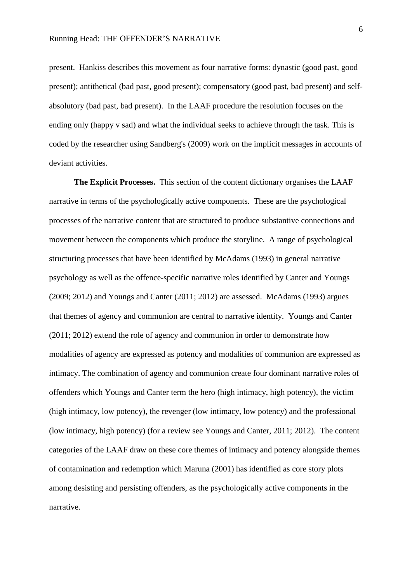present. Hankiss describes this movement as four narrative forms: dynastic (good past, good present); antithetical (bad past, good present); compensatory (good past, bad present) and selfabsolutory (bad past, bad present). In the LAAF procedure the resolution focuses on the ending only (happy v sad) and what the individual seeks to achieve through the task. This is coded by the researcher using Sandberg's (2009) work on the implicit messages in accounts of deviant activities.

**The Explicit Processes.** This section of the content dictionary organises the LAAF narrative in terms of the psychologically active components. These are the psychological processes of the narrative content that are structured to produce substantive connections and movement between the components which produce the storyline. A range of psychological structuring processes that have been identified by McAdams (1993) in general narrative psychology as well as the offence-specific narrative roles identified by Canter and Youngs (2009; 2012) and Youngs and Canter (2011; 2012) are assessed. McAdams (1993) argues that themes of agency and communion are central to narrative identity. Youngs and Canter (2011; 2012) extend the role of agency and communion in order to demonstrate how modalities of agency are expressed as potency and modalities of communion are expressed as intimacy. The combination of agency and communion create four dominant narrative roles of offenders which Youngs and Canter term the hero (high intimacy, high potency), the victim (high intimacy, low potency), the revenger (low intimacy, low potency) and the professional (low intimacy, high potency) (for a review see Youngs and Canter, 2011; 2012). The content categories of the LAAF draw on these core themes of intimacy and potency alongside themes of contamination and redemption which Maruna (2001) has identified as core story plots among desisting and persisting offenders, as the psychologically active components in the narrative.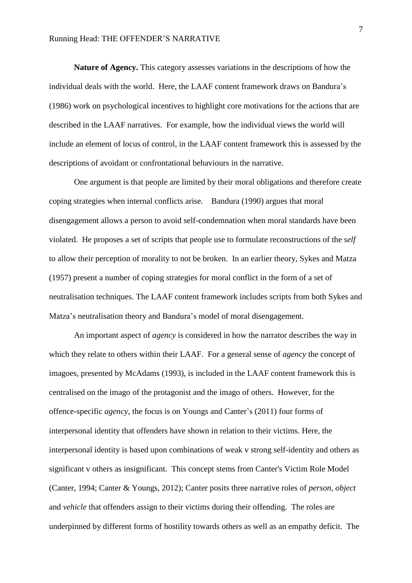#### Running Head: THE OFFENDER'S NARRATIVE

**Nature of Agency.** This category assesses variations in the descriptions of how the individual deals with the world. Here, the LAAF content framework draws on Bandura's (1986) work on psychological incentives to highlight core motivations for the actions that are described in the LAAF narratives. For example, how the individual views the world will include an element of locus of control, in the LAAF content framework this is assessed by the descriptions of avoidant or confrontational behaviours in the narrative.

One argument is that people are limited by their moral obligations and therefore create coping strategies when internal conflicts arise. Bandura (1990) argues that moral disengagement allows a person to avoid self-condemnation when moral standards have been violated. He proposes a set of scripts that people use to formulate reconstructions of the *self* to allow their perception of morality to not be broken. In an earlier theory, Sykes and Matza (1957) present a number of coping strategies for moral conflict in the form of a set of neutralisation techniques. The LAAF content framework includes scripts from both Sykes and Matza's neutralisation theory and Bandura's model of moral disengagement.

An important aspect of *agency* is considered in how the narrator describes the way in which they relate to others within their LAAF. For a general sense of *agency* the concept of imagoes, presented by McAdams (1993), is included in the LAAF content framework this is centralised on the imago of the protagonist and the imago of others. However, for the offence-specific *agency,* the focus is on Youngs and Canter's (2011) four forms of interpersonal identity that offenders have shown in relation to their victims. Here, the interpersonal identity is based upon combinations of weak v strong self-identity and others as significant v others as insignificant. This concept stems from Canter's Victim Role Model (Canter, 1994; Canter & Youngs, 2012); Canter posits three narrative roles of *person*, *object* and *vehicle* that offenders assign to their victims during their offending. The roles are underpinned by different forms of hostility towards others as well as an empathy deficit. The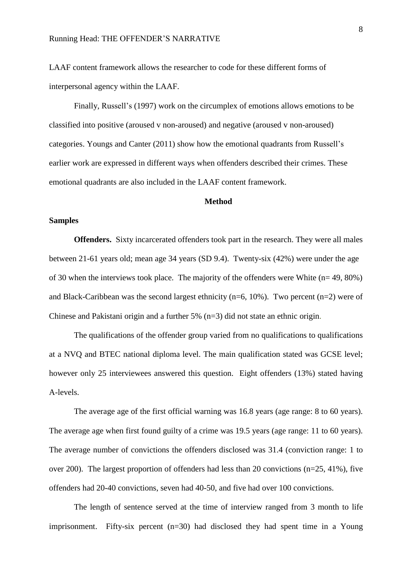LAAF content framework allows the researcher to code for these different forms of interpersonal agency within the LAAF.

Finally, Russell's (1997) work on the circumplex of emotions allows emotions to be classified into positive (aroused v non-aroused) and negative (aroused v non-aroused) categories. Youngs and Canter (2011) show how the emotional quadrants from Russell's earlier work are expressed in different ways when offenders described their crimes. These emotional quadrants are also included in the LAAF content framework.

#### **Method**

#### **Samples**

**Offenders.** Sixty incarcerated offenders took part in the research. They were all males between 21-61 years old; mean age 34 years (SD 9.4). Twenty-six (42%) were under the age of 30 when the interviews took place. The majority of the offenders were White  $(n= 49, 80\%)$ and Black-Caribbean was the second largest ethnicity ( $n=6$ , 10%). Two percent ( $n=2$ ) were of Chinese and Pakistani origin and a further 5% (n=3) did not state an ethnic origin.

The qualifications of the offender group varied from no qualifications to qualifications at a NVQ and BTEC national diploma level. The main qualification stated was GCSE level; however only 25 interviewees answered this question. Eight offenders (13%) stated having A-levels.

The average age of the first official warning was 16.8 years (age range: 8 to 60 years). The average age when first found guilty of a crime was 19.5 years (age range: 11 to 60 years). The average number of convictions the offenders disclosed was 31.4 (conviction range: 1 to over 200). The largest proportion of offenders had less than 20 convictions (n=25, 41%), five offenders had 20-40 convictions, seven had 40-50, and five had over 100 convictions.

The length of sentence served at the time of interview ranged from 3 month to life imprisonment. Fifty-six percent  $(n=30)$  had disclosed they had spent time in a Young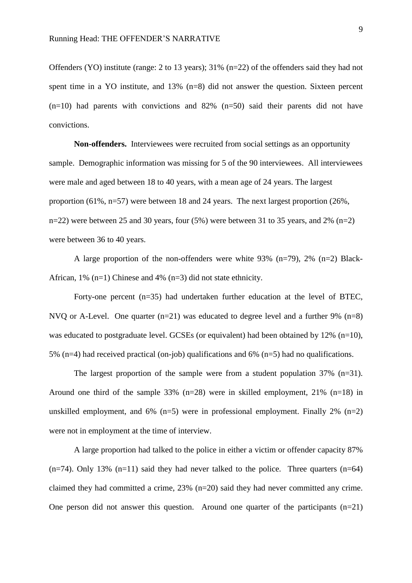Offenders (YO) institute (range: 2 to 13 years); 31% (n=22) of the offenders said they had not spent time in a YO institute, and 13% (n=8) did not answer the question. Sixteen percent  $(n=10)$  had parents with convictions and 82%  $(n=50)$  said their parents did not have convictions.

**Non-offenders.** Interviewees were recruited from social settings as an opportunity sample. Demographic information was missing for 5 of the 90 interviewees. All interviewees were male and aged between 18 to 40 years, with a mean age of 24 years. The largest proportion (61%, n=57) were between 18 and 24 years. The next largest proportion (26%, n=22) were between 25 and 30 years, four  $(5\%)$  were between 31 to 35 years, and 2% (n=2) were between 36 to 40 years.

A large proportion of the non-offenders were white 93% (n=79), 2% (n=2) Black-African,  $1\%$  (n=1) Chinese and  $4\%$  (n=3) did not state ethnicity.

Forty-one percent (n=35) had undertaken further education at the level of BTEC, NVO or A-Level. One quarter  $(n=21)$  was educated to degree level and a further 9%  $(n=8)$ was educated to postgraduate level. GCSEs (or equivalent) had been obtained by 12% (n=10), 5% (n=4) had received practical (on-job) qualifications and 6% (n=5) had no qualifications.

The largest proportion of the sample were from a student population  $37\%$  (n=31). Around one third of the sample 33% (n=28) were in skilled employment, 21% (n=18) in unskilled employment, and  $6\%$  (n=5) were in professional employment. Finally 2% (n=2) were not in employment at the time of interview.

A large proportion had talked to the police in either a victim or offender capacity 87%  $(n=74)$ . Only 13%  $(n=11)$  said they had never talked to the police. Three quarters  $(n=64)$ claimed they had committed a crime, 23% (n=20) said they had never committed any crime. One person did not answer this question. Around one quarter of the participants  $(n=21)$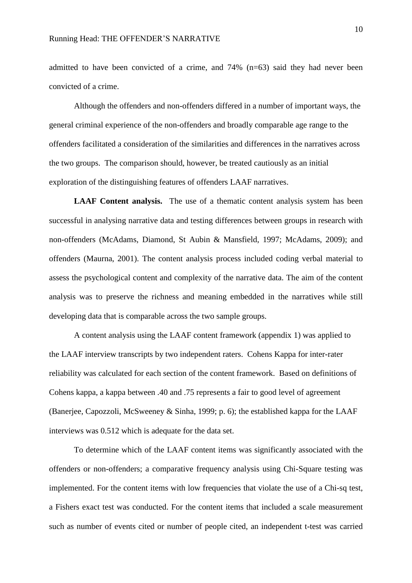admitted to have been convicted of a crime, and 74% (n=63) said they had never been convicted of a crime.

Although the offenders and non-offenders differed in a number of important ways, the general criminal experience of the non-offenders and broadly comparable age range to the offenders facilitated a consideration of the similarities and differences in the narratives across the two groups. The comparison should, however, be treated cautiously as an initial exploration of the distinguishing features of offenders LAAF narratives.

**LAAF Content analysis.** The use of a thematic content analysis system has been successful in analysing narrative data and testing differences between groups in research with non-offenders (McAdams, Diamond, St Aubin & Mansfield, 1997; McAdams, 2009); and offenders (Maurna, 2001). The content analysis process included coding verbal material to assess the psychological content and complexity of the narrative data. The aim of the content analysis was to preserve the richness and meaning embedded in the narratives while still developing data that is comparable across the two sample groups.

A content analysis using the LAAF content framework (appendix 1) was applied to the LAAF interview transcripts by two independent raters. Cohens Kappa for inter-rater reliability was calculated for each section of the content framework. Based on definitions of Cohens kappa, a kappa between .40 and .75 represents a fair to good level of agreement (Banerjee, Capozzoli, McSweeney & Sinha, 1999; p. 6); the established kappa for the LAAF interviews was 0.512 which is adequate for the data set.

To determine which of the LAAF content items was significantly associated with the offenders or non-offenders; a comparative frequency analysis using Chi-Square testing was implemented. For the content items with low frequencies that violate the use of a Chi-sq test, a Fishers exact test was conducted. For the content items that included a scale measurement such as number of events cited or number of people cited, an independent t-test was carried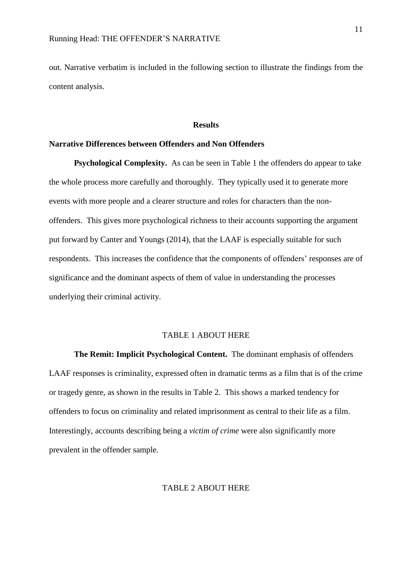out. Narrative verbatim is included in the following section to illustrate the findings from the content analysis.

#### **Results**

#### **Narrative Differences between Offenders and Non Offenders**

**Psychological Complexity.** As can be seen in Table 1 the offenders do appear to take the whole process more carefully and thoroughly. They typically used it to generate more events with more people and a clearer structure and roles for characters than the nonoffenders. This gives more psychological richness to their accounts supporting the argument put forward by Canter and Youngs (2014), that the LAAF is especially suitable for such respondents. This increases the confidence that the components of offenders' responses are of significance and the dominant aspects of them of value in understanding the processes underlying their criminal activity.

#### TABLE 1 ABOUT HERE

**The Remit: Implicit Psychological Content.** The dominant emphasis of offenders LAAF responses is criminality, expressed often in dramatic terms as a film that is of the crime or tragedy genre, as shown in the results in Table 2.This shows a marked tendency for offenders to focus on criminality and related imprisonment as central to their life as a film. Interestingly, accounts describing being a *victim of crime* were also significantly more prevalent in the offender sample.

#### TABLE 2 ABOUT HERE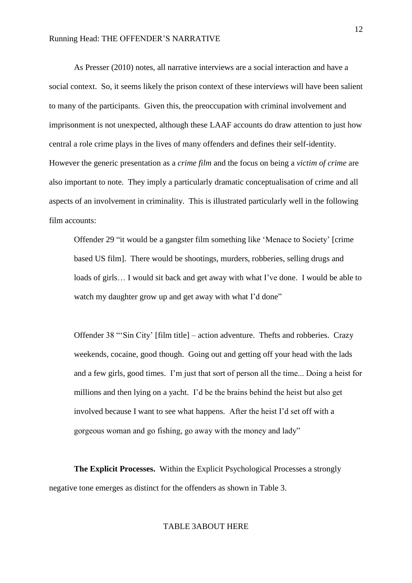As Presser (2010) notes, all narrative interviews are a social interaction and have a social context. So, it seems likely the prison context of these interviews will have been salient to many of the participants. Given this, the preoccupation with criminal involvement and imprisonment is not unexpected, although these LAAF accounts do draw attention to just how central a role crime plays in the lives of many offenders and defines their self-identity. However the generic presentation as a *crime film* and the focus on being a *victim of crime* are also important to note. They imply a particularly dramatic conceptualisation of crime and all aspects of an involvement in criminality. This is illustrated particularly well in the following film accounts:

Offender 29 "it would be a gangster film something like 'Menace to Society' [crime based US film]. There would be shootings, murders, robberies, selling drugs and loads of girls... I would sit back and get away with what I've done. I would be able to watch my daughter grow up and get away with what I'd done"

Offender 38 "'Sin City' [film title] – action adventure. Thefts and robberies. Crazy weekends, cocaine, good though. Going out and getting off your head with the lads and a few girls, good times. I'm just that sort of person all the time... Doing a heist for millions and then lying on a yacht. I'd be the brains behind the heist but also get involved because I want to see what happens. After the heist I'd set off with a gorgeous woman and go fishing, go away with the money and lady"

**The Explicit Processes.** Within the Explicit Psychological Processes a strongly negative tone emerges as distinct for the offenders as shown in Table 3.

## TABLE 3ABOUT HERE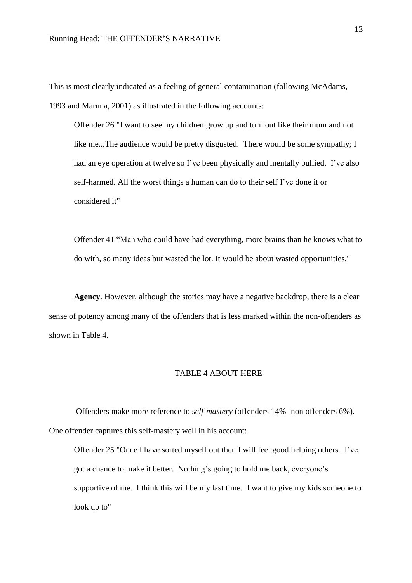This is most clearly indicated as a feeling of general contamination (following McAdams, 1993 and Maruna, 2001) as illustrated in the following accounts:

Offender 26 "I want to see my children grow up and turn out like their mum and not like me...The audience would be pretty disgusted. There would be some sympathy; I had an eye operation at twelve so I've been physically and mentally bullied. I've also self-harmed. All the worst things a human can do to their self I've done it or considered it"

Offender 41 "Man who could have had everything, more brains than he knows what to do with, so many ideas but wasted the lot. It would be about wasted opportunities."

**Agency**. However, although the stories may have a negative backdrop, there is a clear sense of potency among many of the offenders that is less marked within the non-offenders as shown in Table 4.

#### TABLE 4 ABOUT HERE

Offenders make more reference to *self-mastery* (offenders 14%- non offenders 6%). One offender captures this self-mastery well in his account:

Offender 25 "Once I have sorted myself out then I will feel good helping others. I've got a chance to make it better. Nothing's going to hold me back, everyone's supportive of me. I think this will be my last time. I want to give my kids someone to look up to"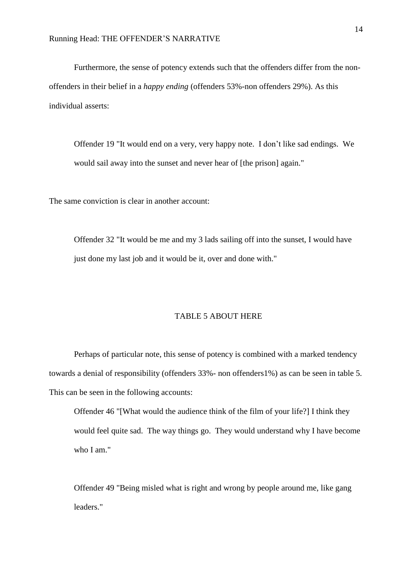Furthermore, the sense of potency extends such that the offenders differ from the nonoffenders in their belief in a *happy ending* (offenders 53%-non offenders 29%). As this individual asserts:

Offender 19 "It would end on a very, very happy note. I don't like sad endings. We would sail away into the sunset and never hear of [the prison] again."

The same conviction is clear in another account:

Offender 32 "It would be me and my 3 lads sailing off into the sunset, I would have just done my last job and it would be it, over and done with."

#### TABLE 5 ABOUT HERE

Perhaps of particular note, this sense of potency is combined with a marked tendency towards a denial of responsibility (offenders 33%- non offenders1%) as can be seen in table 5. This can be seen in the following accounts:

Offender 46 "[What would the audience think of the film of your life?] I think they would feel quite sad. The way things go. They would understand why I have become who I am."

Offender 49 "Being misled what is right and wrong by people around me, like gang leaders."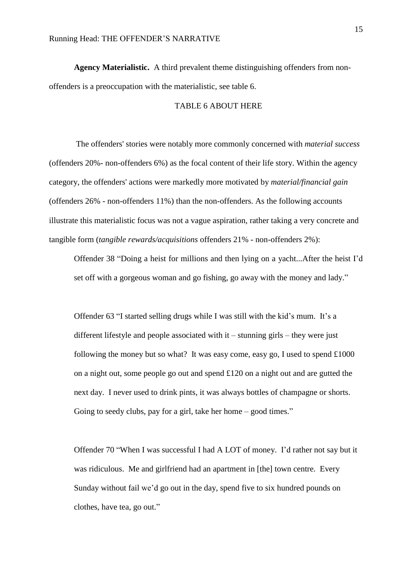**Agency Materialistic.** A third prevalent theme distinguishing offenders from nonoffenders is a preoccupation with the materialistic, see table 6.

#### TABLE 6 ABOUT HERE

The offenders' stories were notably more commonly concerned with *material success* (offenders 20%- non-offenders 6%) as the focal content of their life story. Within the agency category, the offenders' actions were markedly more motivated by *material/financial gain* (offenders 26% - non-offenders 11%) than the non-offenders. As the following accounts illustrate this materialistic focus was not a vague aspiration, rather taking a very concrete and tangible form (*tangible rewards/acquisitions* offenders 21% - non-offenders 2%):

Offender 38 "Doing a heist for millions and then lying on a yacht...After the heist I'd set off with a gorgeous woman and go fishing, go away with the money and lady."

Offender 63 "I started selling drugs while I was still with the kid's mum. It's a different lifestyle and people associated with it – stunning girls – they were just following the money but so what? It was easy come, easy go, I used to spend  $\pounds1000$ on a night out, some people go out and spend £120 on a night out and are gutted the next day. I never used to drink pints, it was always bottles of champagne or shorts. Going to seedy clubs, pay for a girl, take her home – good times."

Offender 70 "When I was successful I had A LOT of money. I'd rather not say but it was ridiculous. Me and girlfriend had an apartment in [the] town centre. Every Sunday without fail we'd go out in the day, spend five to six hundred pounds on clothes, have tea, go out."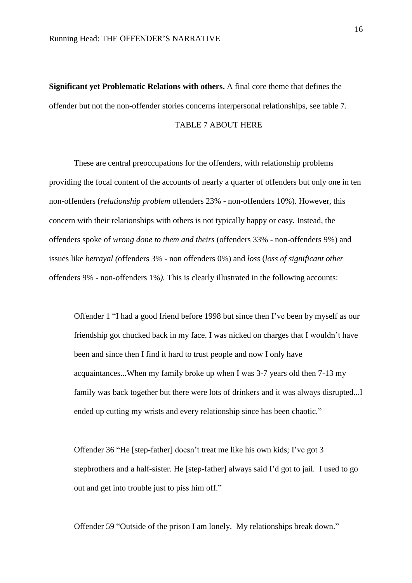**Significant yet Problematic Relations with others.** A final core theme that defines the offender but not the non-offender stories concerns interpersonal relationships, see table 7.

#### TABLE 7 ABOUT HERE

These are central preoccupations for the offenders, with relationship problems providing the focal content of the accounts of nearly a quarter of offenders but only one in ten non-offenders (*relationship problem* offenders 23% - non-offenders 10%). However, this concern with their relationships with others is not typically happy or easy. Instead, the offenders spoke of *wrong done to them and theirs* (offenders 33% - non-offenders 9%) and issues like *betrayal (*offenders 3% - non offenders 0%) and *loss* (*loss of significant other* offenders 9% - non-offenders 1%*).* This is clearly illustrated in the following accounts:

Offender 1 "I had a good friend before 1998 but since then I've been by myself as our friendship got chucked back in my face. I was nicked on charges that I wouldn't have been and since then I find it hard to trust people and now I only have acquaintances...When my family broke up when I was 3-7 years old then 7-13 my family was back together but there were lots of drinkers and it was always disrupted...I ended up cutting my wrists and every relationship since has been chaotic."

Offender 36 "He [step-father] doesn't treat me like his own kids; I've got 3 stepbrothers and a half-sister. He [step-father] always said I'd got to jail. I used to go out and get into trouble just to piss him off."

Offender 59 "Outside of the prison I am lonely. My relationships break down."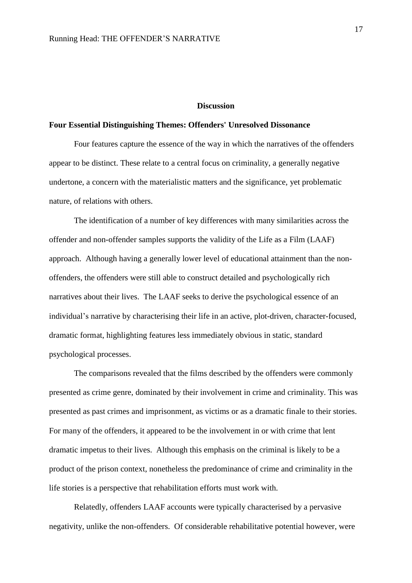#### **Discussion**

#### **Four Essential Distinguishing Themes: Offenders' Unresolved Dissonance**

Four features capture the essence of the way in which the narratives of the offenders appear to be distinct. These relate to a central focus on criminality, a generally negative undertone, a concern with the materialistic matters and the significance, yet problematic nature, of relations with others.

The identification of a number of key differences with many similarities across the offender and non-offender samples supports the validity of the Life as a Film (LAAF) approach. Although having a generally lower level of educational attainment than the nonoffenders, the offenders were still able to construct detailed and psychologically rich narratives about their lives. The LAAF seeks to derive the psychological essence of an individual's narrative by characterising their life in an active, plot-driven, character-focused, dramatic format, highlighting features less immediately obvious in static, standard psychological processes.

The comparisons revealed that the films described by the offenders were commonly presented as crime genre, dominated by their involvement in crime and criminality. This was presented as past crimes and imprisonment, as victims or as a dramatic finale to their stories. For many of the offenders, it appeared to be the involvement in or with crime that lent dramatic impetus to their lives. Although this emphasis on the criminal is likely to be a product of the prison context, nonetheless the predominance of crime and criminality in the life stories is a perspective that rehabilitation efforts must work with.

Relatedly, offenders LAAF accounts were typically characterised by a pervasive negativity, unlike the non-offenders. Of considerable rehabilitative potential however, were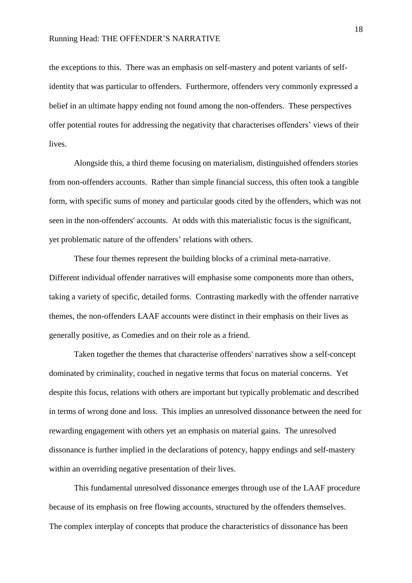#### Running Head: THE OFFENDER'S NARRATIVE

the exceptions to this. There was an emphasis on self-mastery and potent variants of selfidentity that was particular to offenders. Furthermore, offenders very commonly expressed a belief in an ultimate happy ending not found among the non-offenders. These perspectives offer potential routes for addressing the negativity that characterises offenders' views of their lives.

Alongside this, a third theme focusing on materialism, distinguished offenders stories from non-offenders accounts. Rather than simple financial success, this often took a tangible form, with specific sums of money and particular goods cited by the offenders, which was not seen in the non-offenders' accounts. At odds with this materialistic focus is the significant, yet problematic nature of the offenders' relations with others.

These four themes represent the building blocks of a criminal meta-narrative. Different individual offender narratives will emphasise some components more than others, taking a variety of specific, detailed forms. Contrasting markedly with the offender narrative themes, the non-offenders LAAF accounts were distinct in their emphasis on their lives as generally positive, as Comedies and on their role as a friend.

Taken together the themes that characterise offenders' narratives show a self-concept dominated by criminality, couched in negative terms that focus on material concerns. Yet despite this focus, relations with others are important but typically problematic and described in terms of wrong done and loss. This implies an unresolved dissonance between the need for rewarding engagement with others yet an emphasis on material gains. The unresolved dissonance is further implied in the declarations of potency, happy endings and self-mastery within an overriding negative presentation of their lives.

This fundamental unresolved dissonance emerges through use of the LAAF procedure because of its emphasis on free flowing accounts, structured by the offenders themselves. The complex interplay of concepts that produce the characteristics of dissonance has been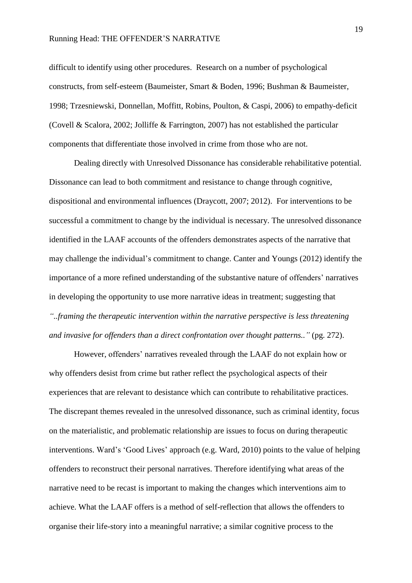#### Running Head: THE OFFENDER'S NARRATIVE

difficult to identify using other procedures. Research on a number of psychological constructs, from self-esteem (Baumeister, Smart & Boden, 1996; Bushman & Baumeister, 1998; Trzesniewski, Donnellan, Moffitt, Robins, Poulton, & Caspi, 2006) to empathy-deficit (Covell & Scalora, 2002; Jolliffe & Farrington, 2007) has not established the particular components that differentiate those involved in crime from those who are not.

Dealing directly with Unresolved Dissonance has considerable rehabilitative potential. Dissonance can lead to both commitment and resistance to change through cognitive, dispositional and environmental influences (Draycott, 2007; 2012). For interventions to be successful a commitment to change by the individual is necessary. The unresolved dissonance identified in the LAAF accounts of the offenders demonstrates aspects of the narrative that may challenge the individual's commitment to change. Canter and Youngs (2012) identify the importance of a more refined understanding of the substantive nature of offenders' narratives in developing the opportunity to use more narrative ideas in treatment; suggesting that *"..framing the therapeutic intervention within the narrative perspective is less threatening and invasive for offenders than a direct confrontation over thought patterns.."* (pg. 272).

However, offenders' narratives revealed through the LAAF do not explain how or why offenders desist from crime but rather reflect the psychological aspects of their experiences that are relevant to desistance which can contribute to rehabilitative practices. The discrepant themes revealed in the unresolved dissonance, such as criminal identity, focus on the materialistic, and problematic relationship are issues to focus on during therapeutic interventions. Ward's 'Good Lives' approach (e.g. Ward, 2010) points to the value of helping offenders to reconstruct their personal narratives. Therefore identifying what areas of the narrative need to be recast is important to making the changes which interventions aim to achieve. What the LAAF offers is a method of self-reflection that allows the offenders to organise their life-story into a meaningful narrative; a similar cognitive process to the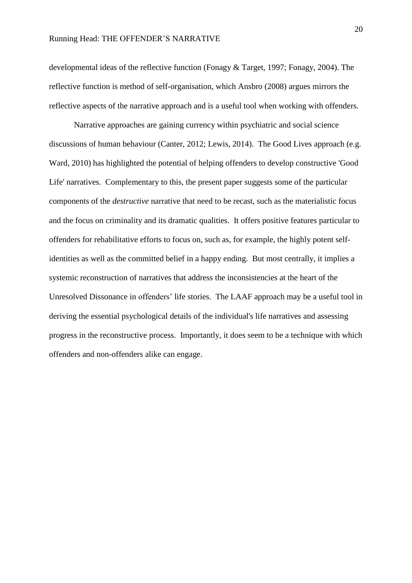developmental ideas of the reflective function (Fonagy & Target, 1997; Fonagy, 2004). The reflective function is method of self-organisation, which Ansbro (2008) argues mirrors the reflective aspects of the narrative approach and is a useful tool when working with offenders.

Narrative approaches are gaining currency within psychiatric and social science discussions of human behaviour (Canter, 2012; Lewis, 2014). The Good Lives approach (e.g. Ward, 2010) has highlighted the potential of helping offenders to develop constructive 'Good Life' narratives. Complementary to this, the present paper suggests some of the particular components of the *destructive* narrative that need to be recast, such as the materialistic focus and the focus on criminality and its dramatic qualities. It offers positive features particular to offenders for rehabilitative efforts to focus on, such as, for example, the highly potent selfidentities as well as the committed belief in a happy ending. But most centrally, it implies a systemic reconstruction of narratives that address the inconsistencies at the heart of the Unresolved Dissonance in offenders' life stories. The LAAF approach may be a useful tool in deriving the essential psychological details of the individual's life narratives and assessing progress in the reconstructive process. Importantly, it does seem to be a technique with which offenders and non-offenders alike can engage.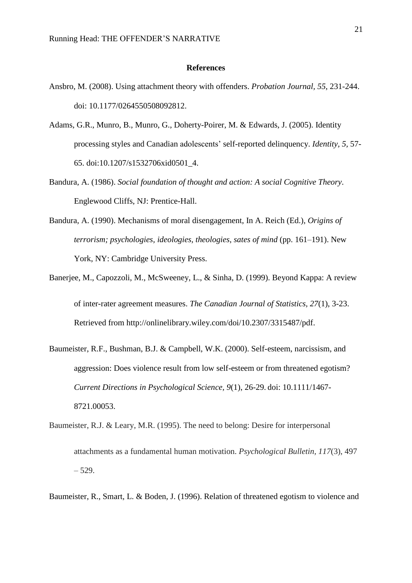#### **References**

- Ansbro, M. (2008). Using attachment theory with offenders. *Probation Journal, 55*, 231-244. doi: 10.1177/0264550508092812.
- Adams, G.R., Munro, B., Munro, G., Doherty-Poirer, M. & Edwards, J. (2005). Identity processing styles and Canadian adolescents' self-reported delinquency. *Identity, 5,* 57- 65. doi:10.1207/s1532706xid0501\_4.
- Bandura, A. (1986). *Social foundation of thought and action: A social Cognitive Theory*. Englewood Cliffs, NJ: Prentice-Hall.
- Bandura, A. (1990). Mechanisms of moral disengagement, In A. Reich (Ed.), *Origins of terrorism; psychologies, ideologies, theologies, sates of mind* (pp. 161–191). New York, NY: Cambridge University Press.
- Banerjee, M., Capozzoli, M., McSweeney, L., & Sinha, D. (1999). Beyond Kappa: A review of inter-rater agreement measures. *The Canadian Journal of Statistics, 27*(1), 3-23. Retrieved from [http://onlinelibrary.wiley.com/doi/10.2307/3315487/pdf.](http://onlinelibrary.wiley.com/doi/10.2307/3315487/pdf)
- Baumeister, R.F., Bushman, B.J. & Campbell, W.K. (2000). Self-esteem, narcissism, and aggression: Does violence result from low self-esteem or from threatened egotism? *Current Directions in Psychological Science, 9*(1), 26-29. doi: 10.1111/1467- 8721.00053.
- Baumeister, R.J. & Leary, M.R. (1995). The need to belong: Desire for interpersonal attachments as a fundamental human motivation. *Psychological Bulletin, 117*(3), 497 – 529.
- Baumeister, R., Smart, L. & Boden, J. (1996). Relation of threatened egotism to violence and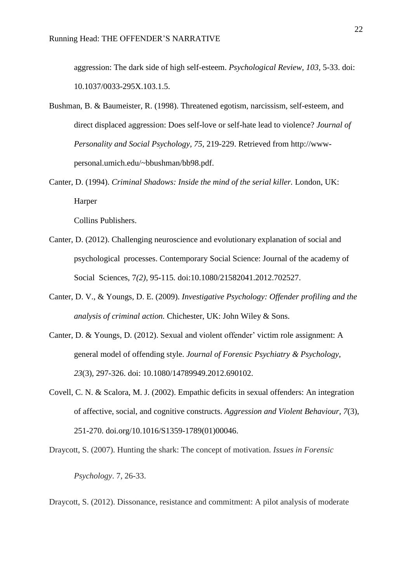aggression: The dark side of high self-esteem. *Psychological Review, 103,* 5-33. doi: [10.1037/0033-295X.103.1.5.](http://psycnet.apa.org/doi/10.1037/0033-295X.103.1.5)

- Bushman, B. & Baumeister, R. (1998). Threatened egotism, narcissism, self-esteem, and direct displaced aggression: Does self-love or self-hate lead to violence? *Journal of Personality and Social Psychology, 75,* 219-229. Retrieved from [http://www](http://www-personal.umich.edu/~bbushman/bb98.pdf)[personal.umich.edu/~bbushman/bb98.pdf.](http://www-personal.umich.edu/~bbushman/bb98.pdf)
- Canter, D. (1994). *Criminal Shadows: Inside the mind of the serial killer.* London, UK: Harper

Collins Publishers.

- Canter, D. (2012). Challenging neuroscience and evolutionary explanation of social and psychological processes. Contemporary Social Science: Journal of the academy of Social Sciences, 7*(2),* 95-115*.* doi:10.1080/21582041.2012.702527.
- Canter, D. V., & Youngs, D. E. (2009). *Investigative Psychology: Offender profiling and the analysis of criminal action.* Chichester, UK: John Wiley & Sons.
- Canter, D. & Youngs, D. (2012). Sexual and violent offender' victim role assignment: A general model of offending style. *Journal of Forensic Psychiatry & Psychology, 23*(3), 297-326. doi: 10.1080/14789949.2012.690102.
- Covell, C. N. & Scalora, M. J. (2002). Empathic deficits in sexual offenders: An integration of affective, social, and cognitive constructs. *Aggression and Violent Behaviour, 7*(3), 251-270. doi.org/10.1016/S1359-1789(01)00046.

Draycott, S. (2007). Hunting the shark: The concept of motivation. *Issues in Forensic Psychology*. 7, 26-33.

Draycott, S. (2012). Dissonance, resistance and commitment: A pilot analysis of moderate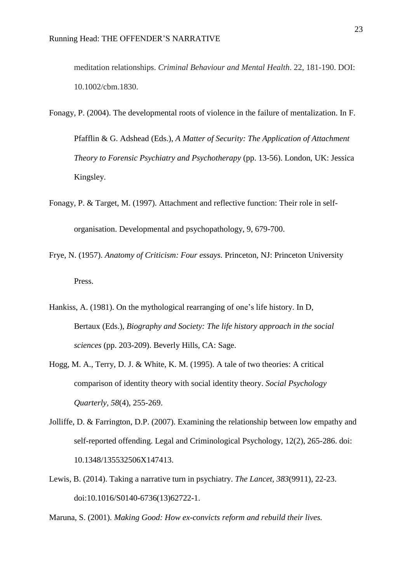meditation relationships. *Criminal Behaviour and Mental Health*. 22, 181-190. DOI: 10.1002/cbm.1830.

- Fonagy, P. (2004). The developmental roots of violence in the failure of mentalization. In F. Pfafflin & G. Adshead (Eds.), *A Matter of Security: The Application of Attachment Theory to Forensic Psychiatry and Psychotherapy* (pp. 13-56). London, UK: Jessica Kingsley.
- Fonagy, P. & Target, M. (1997). Attachment and reflective function: Their role in selforganisation. Developmental and psychopathology, 9, 679-700.
- Frye, N. (1957). *Anatomy of Criticism: Four essays.* Princeton, NJ: Princeton University Press.
- Hankiss, A. (1981). On the mythological rearranging of one's life history. In D, Bertaux (Eds.), *Biography and Society: The life history approach in the social sciences* (pp. 203-209). Beverly Hills, CA: Sage.
- Hogg, M. A., Terry, D. J. & White, K. M. (1995). A tale of two theories: A critical comparison of identity theory with social identity theory. *Social Psychology Quarterly, 58*(4), 255-269.
- Jolliffe, D. & Farrington, D.P. (2007). Examining the relationship between low empathy and self-reported offending. Legal and Criminological Psychology, 12(2), 265-286. doi: 10.1348/135532506X147413.
- Lewis, B. (2014). Taking a narrative turn in psychiatry. *The Lancet, 383*(9911), 22-23. doi:10.1016/S0140-6736(13)62722-1.

Maruna, S. (2001). *Making Good: How ex-convicts reform and rebuild their lives.*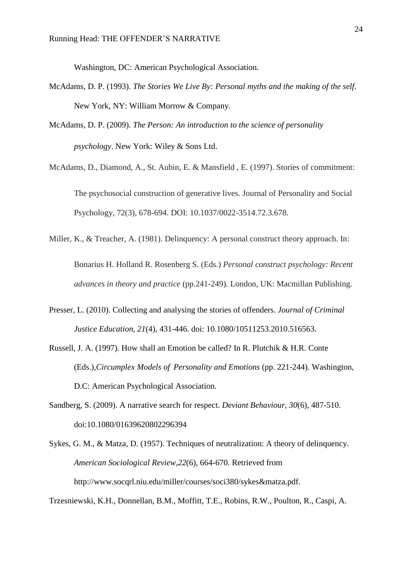Washington, DC: American Psychological Association.

- McAdams, D. P. (1993). *The Stories We Live By: Personal myths and the making of the self*. New York, NY: William Morrow & Company.
- McAdams, D. P. (2009). *The Person: An introduction to the science of personality psychology*. New York: Wiley & Sons Ltd.
- McAdams, D., Diamond, A., St. Aubin, E. & Mansfield , E. (1997). Stories of commitment: The psychosocial construction of generative lives. Journal of Personality and Social Psychology, 72(3), 678-694. DOI: 10.1037/0022-3514.72.3.678.
- Miller, K., & Treacher, A. (1981). Delinquency: A personal construct theory approach. In: Bonarius H. Holland R. Rosenberg S. (Eds.) *Personal construct psychology: Recent advances in theory and practice* (pp.241-249)*.* London, UK: Macmillan Publishing.
- Presser, L. (2010). Collecting and analysing the stories of offenders. *Journal of Criminal Justice Education, 21*(4), 431-446. doi: 10.1080/10511253.2010.516563.
- Russell, J. A. (1997). How shall an Emotion be called? In R. Plutchik & H.R. Conte (Eds.),*Circumplex Models of Personality and Emotions* (pp. 221-244). Washington, D.C: American Psychological Association.
- Sandberg, S. (2009). A narrative search for respect. *Deviant Behaviour, 30*(6), 487-510. doi:10.1080/01639620802296394
- Sykes, G. M., & Matza, D. (1957). Techniques of neutralization: A theory of delinquency. *American Sociological Review,22*(6), 664-670. Retrieved from [http://www.socqrl.niu.edu/miller/courses/soci380/sykes&matza.pdf.](http://www.socqrl.niu.edu/miller/courses/soci380/sykes&matza.pdf)

Trzesniewski, K.H., Donnellan, B.M., Moffitt, T.E., Robins, R.W., Poulton, R., Caspi, A.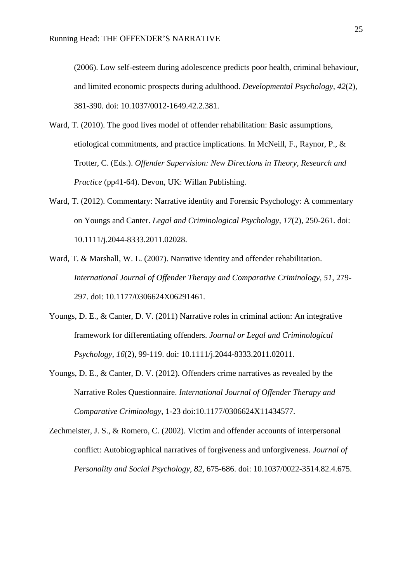(2006). Low self-esteem during adolescence predicts poor health, criminal behaviour, and limited economic prospects during adulthood. *Developmental Psychology, 42*(2), 381-390. doi: [10.1037/0012-1649.42.2.381.](http://psycnet.apa.org/doi/10.1037/0012-1649.42.2.381)

- Ward, T. (2010). The good lives model of offender rehabilitation: Basic assumptions, etiological commitments, and practice implications. In McNeill, F., Raynor, P., & Trotter, C. (Eds.). *Offender Supervision: New Directions in Theory, Research and Practice* (pp41-64). Devon, UK: Willan Publishing.
- Ward, T. (2012). Commentary: Narrative identity and Forensic Psychology: A commentary on Youngs and Canter. *Legal and Criminological Psychology, 17*(2), 250-261. doi: 10.1111/j.2044-8333.2011.02028.
- Ward, T. & Marshall, W. L. (2007). Narrative identity and offender rehabilitation. *International Journal of Offender Therapy and Comparative Criminology, 51*, 279- 297. doi: 10.1177/0306624X06291461.
- Youngs, D. E., & Canter, D. V. (2011) Narrative roles in criminal action: An integrative framework for differentiating offenders. *Journal or Legal and Criminological Psychology, 16*(2), 99-119. doi: 10.1111/j.2044-8333.2011.02011.
- Youngs, D. E., & Canter, D. V. (2012). Offenders crime narratives as revealed by the Narrative Roles Questionnaire. *International Journal of Offender Therapy and Comparative Criminology*, 1-23 doi:10.1177/0306624X11434577.
- Zechmeister, J. S., & Romero, C. (2002). Victim and offender accounts of interpersonal conflict: Autobiographical narratives of forgiveness and unforgiveness. *Journal of Personality and Social Psychology, 82,* 675-686. doi: [10.1037/0022-3514.82.4.675.](http://psycnet.apa.org/doi/10.1037/0022-3514.82.4.675)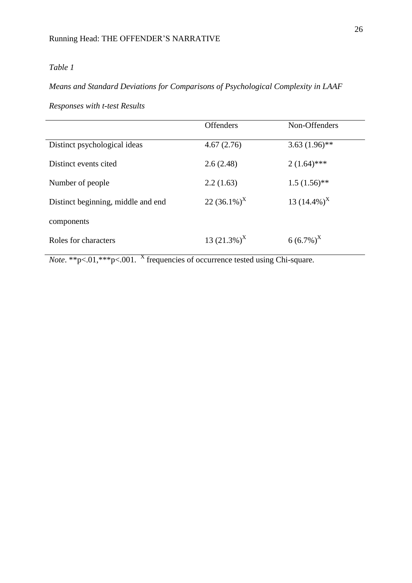## *Means and Standard Deviations for Comparisons of Psychological Complexity in LAAF*

*Responses with t-test Results*

|                                    | <b>Offenders</b> | Non-Offenders   |
|------------------------------------|------------------|-----------------|
| Distinct psychological ideas       | 4.67(2.76)       | $3.63(1.96)$ ** |
| Distinct events cited              | 2.6(2.48)        | $2(1.64)$ ***   |
| Number of people                   | 2.2(1.63)        | $1.5(1.56)$ **  |
| Distinct beginning, middle and end | 22 $(36.1\%)^X$  | 13 $(14.4\%)^X$ |
| components                         |                  |                 |
| Roles for characters               | 13 $(21.3\%)^X$  | $6(6.7\%)^X$    |
|                                    |                  |                 |

*Note*. \*\*p<.01,\*\*\*p<.001. <sup>X</sup> frequencies of occurrence tested using Chi-square.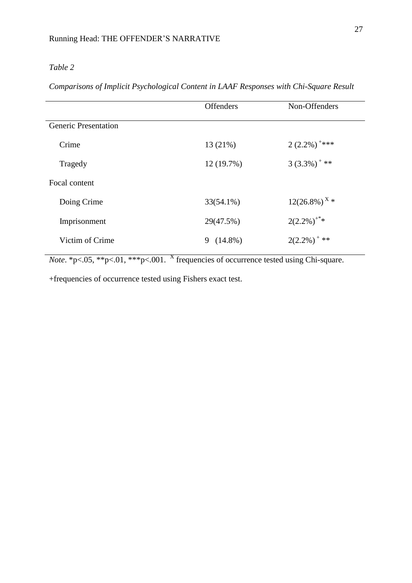*Comparisons of Implicit Psychological Content in LAAF Responses with Chi-Square Result*

|                             | <b>Offenders</b> | Non-Offenders               |
|-----------------------------|------------------|-----------------------------|
| <b>Generic Presentation</b> |                  |                             |
| Crime                       | 13 (21%)         | $2(2.2\%)$ <sup>+***</sup>  |
| Tragedy                     | 12 (19.7%)       | $3(3.3\%)$ <sup>+**</sup>   |
| Focal content               |                  |                             |
| Doing Crime                 | $33(54.1\%)$     | $12(26.8\%)$ <sup>X</sup> * |
| Imprisonment                | 29(47.5%)        | $2(2.2\%)^{**}$             |
| Victim of Crime             | $9(14.8\%)$      | $2(2.2\%)$ <sup>+**</sup>   |
|                             |                  |                             |

*Note*. \*p<.05, \*\*p<.01, \*\*\*p<.001. <sup>X</sup> frequencies of occurrence tested using Chi-square.

+frequencies of occurrence tested using Fishers exact test.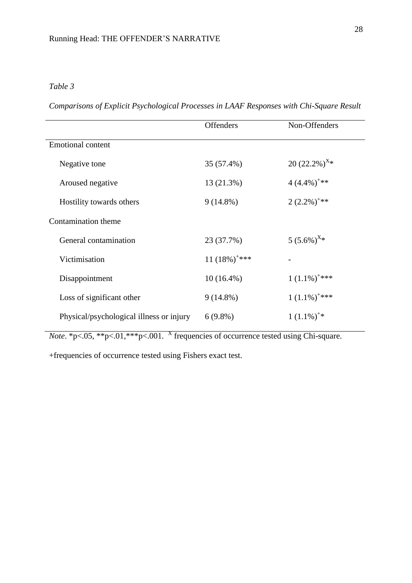*Comparisons of Explicit Psychological Processes in LAAF Responses with Chi-Square Result*

|                                          | <b>Offenders</b>            | Non-Offenders              |
|------------------------------------------|-----------------------------|----------------------------|
| <b>Emotional content</b>                 |                             |                            |
| Negative tone                            | 35 (57.4%)                  | 20 $(22.2\%)^{\text{X}*}$  |
| Aroused negative                         | 13 (21.3%)                  | $4(4.4\%)$ <sup>+**</sup>  |
| Hostility towards others                 | $9(14.8\%)$                 | $2(2.2\%)$ <sup>+**</sup>  |
| Contamination theme                      |                             |                            |
| General contamination                    | 23 (37.7%)                  | $5(5.6\%)$ <sup>X*</sup>   |
| Victimisation                            | 11 $(18\%)$ <sup>+***</sup> |                            |
| Disappointment                           | $10(16.4\%)$                | $1(1.1\%)$ <sup>+***</sup> |
| Loss of significant other                | $9(14.8\%)$                 | $1(1.1\%)$ <sup>+***</sup> |
| Physical/psychological illness or injury | $6(9.8\%)$                  | $1(1.1\%)^{**}$            |

*Note*.  $*_{p<.05}$ ,  $*_{p<.01}$ ,  $*_{p<.001}$ . *X* frequencies of occurrence tested using Chi-square.

+frequencies of occurrence tested using Fishers exact test.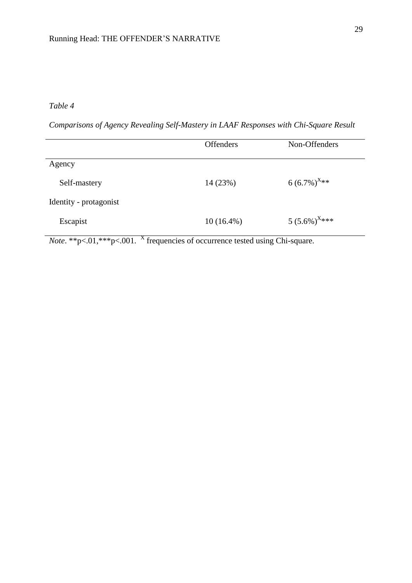*Comparisons of Agency Revealing Self-Mastery in LAAF Responses with Chi-Square Result*

|                        | <b>Offenders</b> | Non-Offenders               |
|------------------------|------------------|-----------------------------|
| Agency                 |                  |                             |
| Self-mastery           | 14(23%)          | $6(6.7\%)^{X_{**}}$         |
| Identity - protagonist |                  |                             |
| Escapist               | $10(16.4\%)$     | 5 $(5.6\%)$ <sup>X***</sup> |

*Note*. \*\*p<.01,\*\*\*p<.001. <sup>X</sup> frequencies of occurrence tested using Chi-square.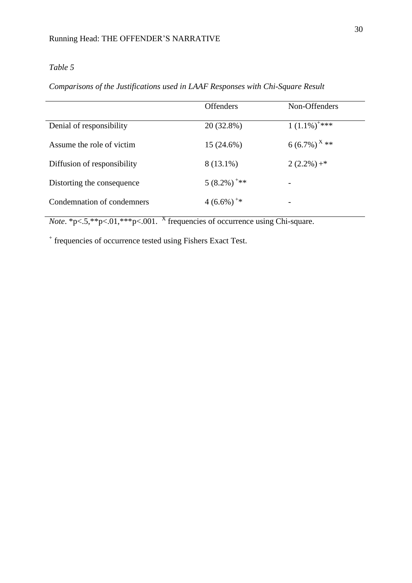*Comparisons of the Justifications used in LAAF Responses with Chi-Square Result*

|                             | <b>Offenders</b>          | Non-Offenders              |
|-----------------------------|---------------------------|----------------------------|
| Denial of responsibility    | 20 (32.8%)                | $1(1.1\%)$ <sup>+***</sup> |
| Assume the role of victim   | $15(24.6\%)$              | 6 (6.7%) <sup>X</sup> **   |
| Diffusion of responsibility | 8 (13.1%)                 | $2(2.2\%) +$ *             |
| Distorting the consequence  | $5(8.2\%)$ <sup>+**</sup> |                            |
| Condemnation of condemners  | $4(6.6\%)$ <sup>+*</sup>  | -                          |

*Note*.  $p \leq 5$ ,  $\frac{p}{5}$ ,  $\frac{p}{5}$ ,  $\frac{p}{100}$ ,  $\frac{p}{100}$ ,  $\frac{X}{Y}$  frequencies of occurrence using Chi-square.

+ frequencies of occurrence tested using Fishers Exact Test.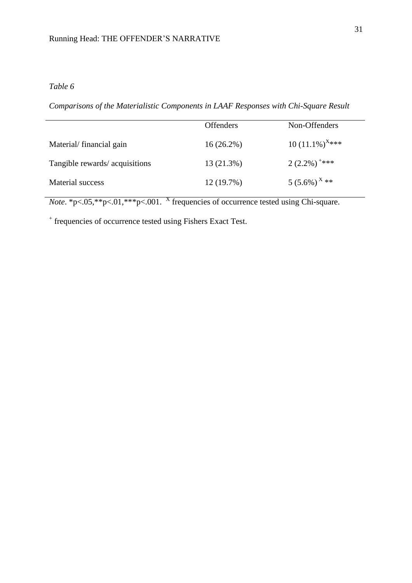*Comparisons of the Materialistic Components in LAAF Responses with Chi-Square Result*

|                                | <b>Offenders</b> | Non-Offenders                 |
|--------------------------------|------------------|-------------------------------|
| Material/financial gain        | $16(26.2\%)$     | 10 $(11.1\%)$ <sup>X***</sup> |
| Tangible rewards/ acquisitions | 13 (21.3%)       | $2(2.2\%)$ <sup>+***</sup>    |
| Material success               | 12(19.7%)        | $5(5.6\%)$ <sup>X</sup> **    |

*Note*.  $p \leq 0.05$ ,  $p \leq 0.01$ ,  $p \leq 0.001$ . X frequencies of occurrence tested using Chi-square.

+ frequencies of occurrence tested using Fishers Exact Test.